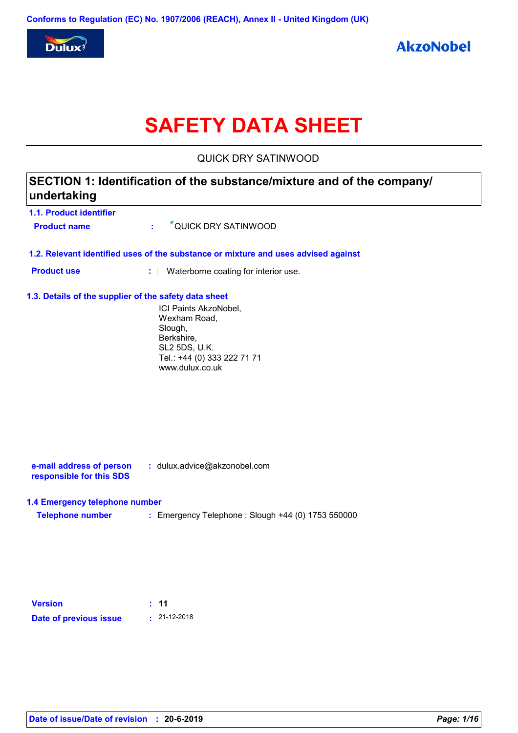

# **SAFETY DATA SHEET**

QUICK DRY SATINWOOD

| 1.1. Product identifier                               |                                                                                                                                   |
|-------------------------------------------------------|-----------------------------------------------------------------------------------------------------------------------------------|
| <b>Product name</b>                                   | <sup>7</sup> QUICK DRY SATINWOOD<br>÷.                                                                                            |
|                                                       | 1.2. Relevant identified uses of the substance or mixture and uses advised against                                                |
| <b>Product use</b>                                    | t<br>Waterborne coating for interior use.                                                                                         |
| 1.3. Details of the supplier of the safety data sheet |                                                                                                                                   |
|                                                       | ICI Paints AkzoNobel,<br>Wexham Road,<br>Slough,<br>Berkshire,<br>SL2 5DS, U.K.<br>Tel.: +44 (0) 333 222 71 71<br>www.dulux.co.uk |
|                                                       |                                                                                                                                   |
|                                                       |                                                                                                                                   |
|                                                       |                                                                                                                                   |
| e-mail address of person<br>responsible for this SDS  | : dulux.advice@akzonobel.com                                                                                                      |
| 1.4 Emergency telephone number                        |                                                                                                                                   |
| <b>Telephone number</b>                               | : Emergency Telephone : Slough +44 (0) 1753 550000                                                                                |
|                                                       |                                                                                                                                   |
|                                                       |                                                                                                                                   |
| <b>Version</b>                                        | : 11                                                                                                                              |
|                                                       | $\cdot$ 21-12-2018                                                                                                                |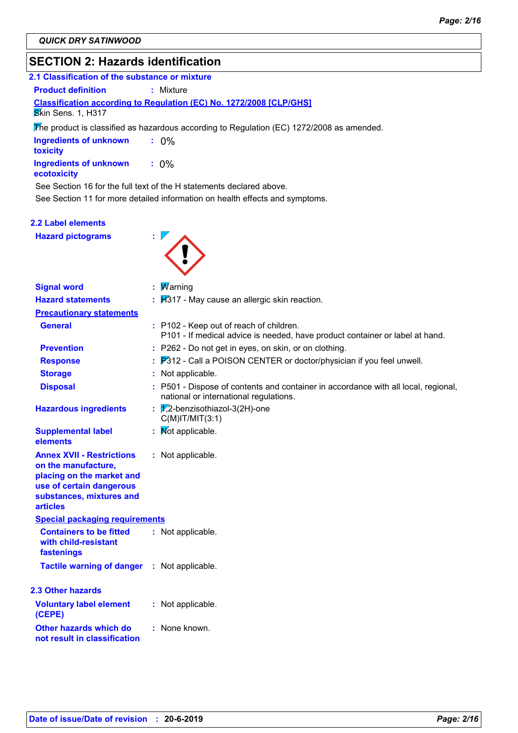# **SECTION 2: Hazards identification**

| 2.1 Classification of the substance or mixture                                                                                                                  |                                                                                                                                                           |
|-----------------------------------------------------------------------------------------------------------------------------------------------------------------|-----------------------------------------------------------------------------------------------------------------------------------------------------------|
| <b>Product definition</b>                                                                                                                                       | $:$ Mixture                                                                                                                                               |
| Skin Sens. 1, H317                                                                                                                                              | <b>Classification according to Regulation (EC) No. 1272/2008 [CLP/GHS]</b>                                                                                |
|                                                                                                                                                                 | The product is classified as hazardous according to Regulation (EC) 1272/2008 as amended.                                                                 |
| <b>Ingredients of unknown</b><br>toxicity                                                                                                                       | $: 0\%$                                                                                                                                                   |
| <b>Ingredients of unknown</b><br>ecotoxicity                                                                                                                    | $: 0\%$                                                                                                                                                   |
|                                                                                                                                                                 | See Section 16 for the full text of the H statements declared above.                                                                                      |
|                                                                                                                                                                 | See Section 11 for more detailed information on health effects and symptoms.                                                                              |
| <b>2.2 Label elements</b>                                                                                                                                       |                                                                                                                                                           |
| <b>Hazard pictograms</b>                                                                                                                                        |                                                                                                                                                           |
|                                                                                                                                                                 |                                                                                                                                                           |
|                                                                                                                                                                 |                                                                                                                                                           |
|                                                                                                                                                                 |                                                                                                                                                           |
| <b>Signal word</b>                                                                                                                                              | : $M$ arning                                                                                                                                              |
| <b>Hazard statements</b>                                                                                                                                        | $\frac{1}{2}$ $\frac{1}{2}$ $\frac{1}{2}$ $\frac{1}{2}$ $\frac{1}{2}$ $\frac{1}{2}$ $\frac{1}{2}$ $\frac{1}{2}$ $\frac{1}{2}$ and allergic skin reaction. |
| <b>Precautionary statements</b>                                                                                                                                 |                                                                                                                                                           |
| <b>General</b>                                                                                                                                                  | : P102 - Keep out of reach of children.<br>P101 - If medical advice is needed, have product container or label at hand.                                   |
| <b>Prevention</b>                                                                                                                                               | : P262 - Do not get in eyes, on skin, or on clothing.                                                                                                     |
| <b>Response</b>                                                                                                                                                 | $\therefore$ $P312$ - Call a POISON CENTER or doctor/physician if you feel unwell.                                                                        |
| <b>Storage</b>                                                                                                                                                  | : Not applicable.                                                                                                                                         |
| <b>Disposal</b>                                                                                                                                                 | : P501 - Dispose of contents and container in accordance with all local, regional,<br>national or international regulations.                              |
| <b>Hazardous ingredients</b>                                                                                                                                    | : $\sqrt{2}$ -benzisothiazol-3(2H)-one<br>$C(M)$ IT/MIT $(3:1)$                                                                                           |
| <b>Supplemental label</b><br>elements                                                                                                                           | : Mot applicable.                                                                                                                                         |
| <b>Annex XVII - Restrictions</b><br>on the manufacture,<br>placing on the market and<br>use of certain dangerous<br>substances, mixtures and<br><b>articles</b> | : Not applicable.                                                                                                                                         |
| <b>Special packaging requirements</b>                                                                                                                           |                                                                                                                                                           |
| <b>Containers to be fitted</b><br>with child-resistant<br>fastenings                                                                                            | : Not applicable.                                                                                                                                         |
| <b>Tactile warning of danger</b>                                                                                                                                | : Not applicable.                                                                                                                                         |
| 2.3 Other hazards                                                                                                                                               |                                                                                                                                                           |
| <b>Voluntary label element</b><br>(CEPE)                                                                                                                        | : Not applicable.                                                                                                                                         |
| Other hazards which do<br>not result in classification                                                                                                          | : None known.                                                                                                                                             |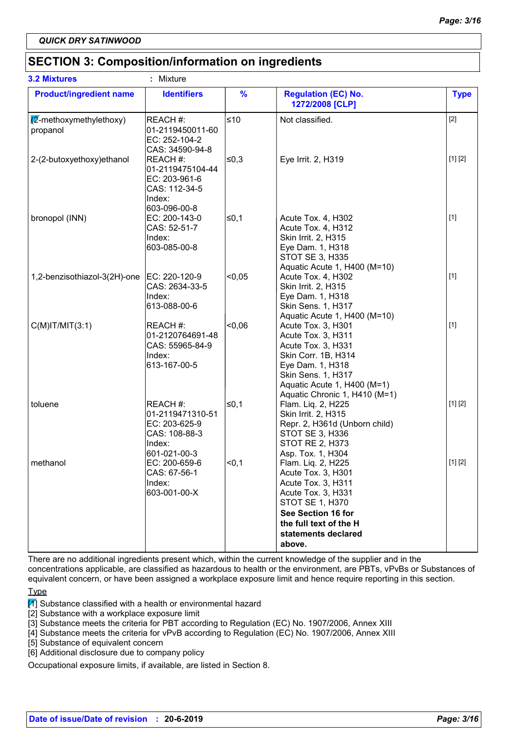# **SECTION 3: Composition/information on ingredients**

| <b>3.2 Mixtures</b>                          | : Mixture                                                                                |                |                                                                                                                                                                                                 |             |
|----------------------------------------------|------------------------------------------------------------------------------------------|----------------|-------------------------------------------------------------------------------------------------------------------------------------------------------------------------------------------------|-------------|
| <b>Product/ingredient name</b>               | <b>Identifiers</b>                                                                       | $\frac{9}{6}$  | <b>Regulation (EC) No.</b><br>1272/2008 [CLP]                                                                                                                                                   | <b>Type</b> |
| $\sqrt{2}$ -methoxymethylethoxy)<br>propanol | REACH #:<br>01-2119450011-60<br>EC: 252-104-2<br>CAS: 34590-94-8                         | $≤10$          | Not classified.                                                                                                                                                                                 | $[2]$       |
| 2-(2-butoxyethoxy)ethanol                    | REACH#:<br>01-2119475104-44<br>EC: 203-961-6<br>CAS: 112-34-5<br>Index:<br>603-096-00-8  | ∣≤0,3          | Eye Irrit. 2, H319                                                                                                                                                                              | [1] [2]     |
| bronopol (INN)                               | EC: 200-143-0<br>CAS: 52-51-7<br>Index:<br>603-085-00-8                                  | l≤0,1          | Acute Tox. 4, H302<br>Acute Tox. 4, H312<br>Skin Irrit. 2, H315<br>Eye Dam. 1, H318<br>STOT SE 3, H335<br>Aquatic Acute 1, H400 (M=10)                                                          | $[1]$       |
| 1,2-benzisothiazol-3(2H)-one                 | EC: 220-120-9<br>CAS: 2634-33-5<br>Index:<br>613-088-00-6                                | < 0.05         | Acute Tox. 4, H302<br>Skin Irrit. 2, H315<br>Eye Dam. 1, H318<br>Skin Sens. 1, H317<br>Aquatic Acute 1, H400 (M=10)                                                                             | $[1]$       |
| $C(M)$ IT/MIT $(3:1)$                        | REACH #:<br>01-2120764691-48<br>CAS: 55965-84-9<br>Index:<br>613-167-00-5                | $-0,06$        | Acute Tox. 3, H301<br>Acute Tox. 3, H311<br>Acute Tox. 3, H331<br>Skin Corr. 1B, H314<br>Eye Dam. 1, H318<br>Skin Sens. 1, H317<br>Aquatic Acute 1, H400 (M=1)<br>Aquatic Chronic 1, H410 (M=1) | $[1]$       |
| toluene                                      | REACH #:<br>01-2119471310-51<br>EC: 203-625-9<br>CAS: 108-88-3<br>Index:<br>601-021-00-3 | ≤0,1           | Flam. Liq. 2, H225<br>Skin Irrit. 2, H315<br>Repr. 2, H361d (Unborn child)<br>STOT SE 3, H336<br><b>STOT RE 2, H373</b><br>Asp. Tox. 1, H304                                                    | [1] [2]     |
| methanol                                     | EC: 200-659-6<br>CAS: 67-56-1<br>Index:<br>603-001-00-X                                  | <sub>0.1</sub> | Flam. Liq. 2, H225<br>Acute Tox. 3, H301<br>Acute Tox. 3, H311<br>Acute Tox. 3, H331<br><b>STOT SE 1, H370</b><br>See Section 16 for<br>the full text of the H<br>statements declared<br>above. | [1] [2]     |

There are no additional ingredients present which, within the current knowledge of the supplier and in the concentrations applicable, are classified as hazardous to health or the environment, are PBTs, vPvBs or Substances of equivalent concern, or have been assigned a workplace exposure limit and hence require reporting in this section.

Type

 $\mathbb{M}$  Substance classified with a health or environmental hazard

[2] Substance with a workplace exposure limit

[3] Substance meets the criteria for PBT according to Regulation (EC) No. 1907/2006, Annex XIII

[4] Substance meets the criteria for vPvB according to Regulation (EC) No. 1907/2006, Annex XIII

[5] Substance of equivalent concern

[6] Additional disclosure due to company policy

Occupational exposure limits, if available, are listed in Section 8.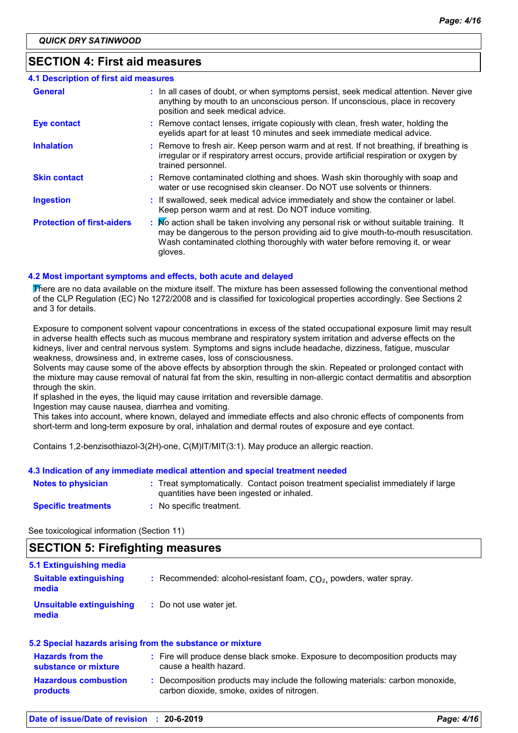### **SECTION 4: First aid measures**

| 4.1 Description of first aid measures |                                                                                                                                                                                                                                                                          |
|---------------------------------------|--------------------------------------------------------------------------------------------------------------------------------------------------------------------------------------------------------------------------------------------------------------------------|
| <b>General</b>                        | : In all cases of doubt, or when symptoms persist, seek medical attention. Never give<br>anything by mouth to an unconscious person. If unconscious, place in recovery<br>position and seek medical advice.                                                              |
| <b>Eye contact</b>                    | : Remove contact lenses, irrigate copiously with clean, fresh water, holding the<br>eyelids apart for at least 10 minutes and seek immediate medical advice.                                                                                                             |
| <b>Inhalation</b>                     | : Remove to fresh air. Keep person warm and at rest. If not breathing, if breathing is<br>irregular or if respiratory arrest occurs, provide artificial respiration or oxygen by<br>trained personnel.                                                                   |
| <b>Skin contact</b>                   | : Remove contaminated clothing and shoes. Wash skin thoroughly with soap and<br>water or use recognised skin cleanser. Do NOT use solvents or thinners.                                                                                                                  |
| <b>Ingestion</b>                      | : If swallowed, seek medical advice immediately and show the container or label.<br>Keep person warm and at rest. Do NOT induce vomiting.                                                                                                                                |
| <b>Protection of first-aiders</b>     | : No action shall be taken involving any personal risk or without suitable training. It<br>may be dangerous to the person providing aid to give mouth-to-mouth resuscitation.<br>Wash contaminated clothing thoroughly with water before removing it, or wear<br>gloves. |

#### **4.2 Most important symptoms and effects, both acute and delayed**

There are no data available on the mixture itself. The mixture has been assessed following the conventional method of the CLP Regulation (EC) No 1272/2008 and is classified for toxicological properties accordingly. See Sections 2 and 3 for details.

Exposure to component solvent vapour concentrations in excess of the stated occupational exposure limit may result in adverse health effects such as mucous membrane and respiratory system irritation and adverse effects on the kidneys, liver and central nervous system. Symptoms and signs include headache, dizziness, fatigue, muscular weakness, drowsiness and, in extreme cases, loss of consciousness.

Solvents may cause some of the above effects by absorption through the skin. Repeated or prolonged contact with the mixture may cause removal of natural fat from the skin, resulting in non-allergic contact dermatitis and absorption through the skin.

If splashed in the eyes, the liquid may cause irritation and reversible damage.

Ingestion may cause nausea, diarrhea and vomiting.

This takes into account, where known, delayed and immediate effects and also chronic effects of components from short-term and long-term exposure by oral, inhalation and dermal routes of exposure and eye contact.

Contains 1,2-benzisothiazol-3(2H)-one, C(M)IT/MIT(3:1). May produce an allergic reaction.

#### **4.3 Indication of any immediate medical attention and special treatment needed**

| <b>Notes to physician</b>  | : Treat symptomatically. Contact poison treatment specialist immediately if large<br>quantities have been ingested or inhaled. |
|----------------------------|--------------------------------------------------------------------------------------------------------------------------------|
| <b>Specific treatments</b> | No specific treatment.                                                                                                         |

See toxicological information (Section 11)

### **SECTION 5: Firefighting measures**

| 5.1 Extinguishing media                |                                                                      |
|----------------------------------------|----------------------------------------------------------------------|
| <b>Suitable extinguishing</b><br>media | : Recommended: alcohol-resistant foam, $CO2$ , powders, water spray. |
| Unsuitable extinguishing<br>media      | : Do not use water jet.                                              |

#### **5.2 Special hazards arising from the substance or mixture**

| <b>Hazards from the</b><br>substance or mixture | : Fire will produce dense black smoke. Exposure to decomposition products may<br>cause a health hazard.                    |
|-------------------------------------------------|----------------------------------------------------------------------------------------------------------------------------|
| <b>Hazardous combustion</b><br><b>products</b>  | Decomposition products may include the following materials: carbon monoxide,<br>carbon dioxide, smoke, oxides of nitrogen. |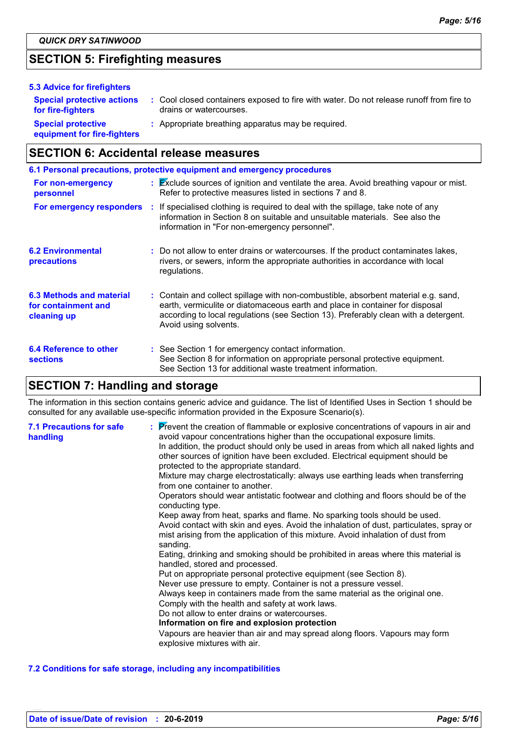# **SECTION 5: Firefighting measures**

| 5.3 Advice for firefighters                              |                                                                                                                    |
|----------------------------------------------------------|--------------------------------------------------------------------------------------------------------------------|
| <b>Special protective actions</b><br>for fire-fighters   | : Cool closed containers exposed to fire with water. Do not release runoff from fire to<br>drains or watercourses. |
| <b>Special protective</b><br>equipment for fire-fighters | : Appropriate breathing apparatus may be required.                                                                 |

# **SECTION 6: Accidental release measures**

| 6.1 Personal precautions, protective equipment and emergency procedures |  |                                                                                                                                                                                                                                                                                    |  |
|-------------------------------------------------------------------------|--|------------------------------------------------------------------------------------------------------------------------------------------------------------------------------------------------------------------------------------------------------------------------------------|--|
| For non-emergency<br>personnel                                          |  | : Exclude sources of ignition and ventilate the area. Avoid breathing vapour or mist.<br>Refer to protective measures listed in sections 7 and 8.                                                                                                                                  |  |
|                                                                         |  | For emergency responders : If specialised clothing is required to deal with the spillage, take note of any<br>information in Section 8 on suitable and unsuitable materials. See also the<br>information in "For non-emergency personnel".                                         |  |
| <b>6.2 Environmental</b><br>precautions                                 |  | : Do not allow to enter drains or watercourses. If the product contaminates lakes,<br>rivers, or sewers, inform the appropriate authorities in accordance with local<br>regulations.                                                                                               |  |
| 6.3 Methods and material<br>for containment and<br>cleaning up          |  | : Contain and collect spillage with non-combustible, absorbent material e.g. sand,<br>earth, vermiculite or diatomaceous earth and place in container for disposal<br>according to local regulations (see Section 13). Preferably clean with a detergent.<br>Avoid using solvents. |  |
| 6.4 Reference to other<br><b>sections</b>                               |  | : See Section 1 for emergency contact information.<br>See Section 8 for information on appropriate personal protective equipment.<br>See Section 13 for additional waste treatment information.                                                                                    |  |

# **SECTION 7: Handling and storage**

The information in this section contains generic advice and guidance. The list of Identified Uses in Section 1 should be consulted for any available use-specific information provided in the Exposure Scenario(s).

| <b>7.1 Precautions for safe</b><br>handling | : Prevent the creation of flammable or explosive concentrations of vapours in air and<br>avoid vapour concentrations higher than the occupational exposure limits.<br>In addition, the product should only be used in areas from which all naked lights and<br>other sources of ignition have been excluded. Electrical equipment should be<br>protected to the appropriate standard.<br>Mixture may charge electrostatically: always use earthing leads when transferring<br>from one container to another.<br>Operators should wear antistatic footwear and clothing and floors should be of the<br>conducting type.<br>Keep away from heat, sparks and flame. No sparking tools should be used.<br>Avoid contact with skin and eyes. Avoid the inhalation of dust, particulates, spray or<br>mist arising from the application of this mixture. Avoid inhalation of dust from<br>sanding.<br>Eating, drinking and smoking should be prohibited in areas where this material is<br>handled, stored and processed.<br>Put on appropriate personal protective equipment (see Section 8).<br>Never use pressure to empty. Container is not a pressure vessel.<br>Always keep in containers made from the same material as the original one.<br>Comply with the health and safety at work laws.<br>Do not allow to enter drains or watercourses.<br>Information on fire and explosion protection<br>Vapours are heavier than air and may spread along floors. Vapours may form<br>explosive mixtures with air. |
|---------------------------------------------|--------------------------------------------------------------------------------------------------------------------------------------------------------------------------------------------------------------------------------------------------------------------------------------------------------------------------------------------------------------------------------------------------------------------------------------------------------------------------------------------------------------------------------------------------------------------------------------------------------------------------------------------------------------------------------------------------------------------------------------------------------------------------------------------------------------------------------------------------------------------------------------------------------------------------------------------------------------------------------------------------------------------------------------------------------------------------------------------------------------------------------------------------------------------------------------------------------------------------------------------------------------------------------------------------------------------------------------------------------------------------------------------------------------------------------------------------------------------------------------------------------------|
|---------------------------------------------|--------------------------------------------------------------------------------------------------------------------------------------------------------------------------------------------------------------------------------------------------------------------------------------------------------------------------------------------------------------------------------------------------------------------------------------------------------------------------------------------------------------------------------------------------------------------------------------------------------------------------------------------------------------------------------------------------------------------------------------------------------------------------------------------------------------------------------------------------------------------------------------------------------------------------------------------------------------------------------------------------------------------------------------------------------------------------------------------------------------------------------------------------------------------------------------------------------------------------------------------------------------------------------------------------------------------------------------------------------------------------------------------------------------------------------------------------------------------------------------------------------------|

#### **7.2 Conditions for safe storage, including any incompatibilities**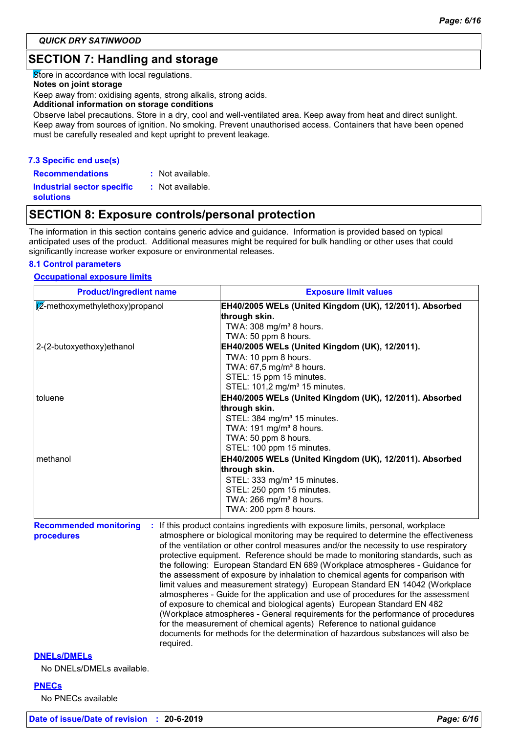# **SECTION 7: Handling and storage**

Store in accordance with local regulations.

#### **Notes on joint storage**

Keep away from: oxidising agents, strong alkalis, strong acids.

#### **Additional information on storage conditions**

Observe label precautions. Store in a dry, cool and well-ventilated area. Keep away from heat and direct sunlight. Keep away from sources of ignition. No smoking. Prevent unauthorised access. Containers that have been opened must be carefully resealed and kept upright to prevent leakage.

#### **7.3 Specific end use(s)**

**Recommendations : Industrial sector specific : solutions** : Not available. : Not available.

# **SECTION 8: Exposure controls/personal protection**

The information in this section contains generic advice and guidance. Information is provided based on typical anticipated uses of the product. Additional measures might be required for bulk handling or other uses that could significantly increase worker exposure or environmental releases.

#### **8.1 Control parameters**

#### **Occupational exposure limits**

| <b>Product/ingredient name</b>            | <b>Exposure limit values</b>                                                                                                                                                                                    |
|-------------------------------------------|-----------------------------------------------------------------------------------------------------------------------------------------------------------------------------------------------------------------|
| $\sqrt{2}$ -methoxymethylethoxy) propanol | EH40/2005 WELs (United Kingdom (UK), 12/2011). Absorbed<br>through skin.<br>TWA: 308 mg/m <sup>3</sup> 8 hours.                                                                                                 |
| 2-(2-butoxyethoxy) ethanol                | TWA: 50 ppm 8 hours.<br>EH40/2005 WELs (United Kingdom (UK), 12/2011).<br>TWA: 10 ppm 8 hours.<br>TWA: 67,5 mg/m <sup>3</sup> 8 hours.<br>STEL: 15 ppm 15 minutes.<br>STEL: 101,2 mg/m <sup>3</sup> 15 minutes. |
| toluene                                   | EH40/2005 WELs (United Kingdom (UK), 12/2011). Absorbed                                                                                                                                                         |
|                                           | through skin.<br>STEL: 384 mg/m <sup>3</sup> 15 minutes.<br>TWA: 191 mg/m <sup>3</sup> 8 hours.<br>TWA: 50 ppm 8 hours.<br>STEL: 100 ppm 15 minutes.                                                            |
| methanol                                  | EH40/2005 WELs (United Kingdom (UK), 12/2011). Absorbed                                                                                                                                                         |
|                                           | through skin.<br>STEL: 333 mg/m <sup>3</sup> 15 minutes.<br>STEL: 250 ppm 15 minutes.<br>TWA: 266 mg/m <sup>3</sup> 8 hours.<br>TWA: 200 ppm 8 hours.                                                           |
| <b>Recommended monitoring</b>             | : If this product contains ingredients with exposure limits, personal, workplace                                                                                                                                |

**procedures** atmosphere or biological monitoring may be required to determine the effectiveness of the ventilation or other control measures and/or the necessity to use respiratory protective equipment. Reference should be made to monitoring standards, such as the following: European Standard EN 689 (Workplace atmospheres - Guidance for the assessment of exposure by inhalation to chemical agents for comparison with limit values and measurement strategy) European Standard EN 14042 (Workplace atmospheres - Guide for the application and use of procedures for the assessment of exposure to chemical and biological agents) European Standard EN 482 (Workplace atmospheres - General requirements for the performance of procedures for the measurement of chemical agents) Reference to national guidance documents for methods for the determination of hazardous substances will also be required.

#### **DNELs/DMELs**

No DNELs/DMELs available.

#### **PNECs**

No PNECs available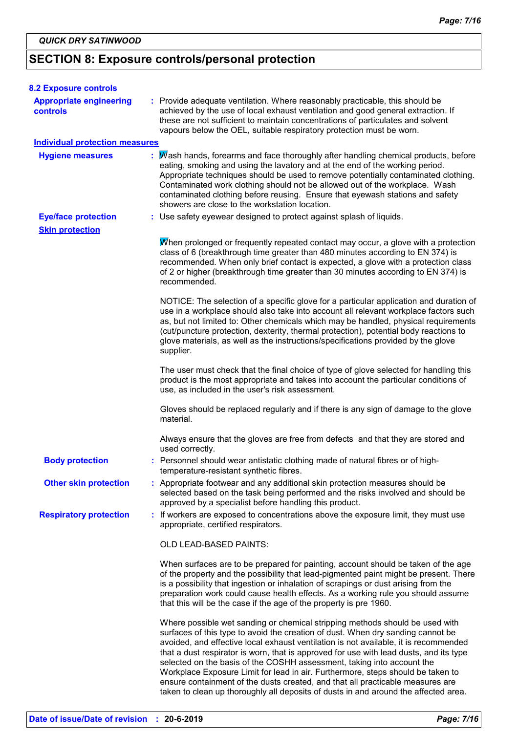# **SECTION 8: Exposure controls/personal protection**

| <b>8.2 Exposure controls</b>                      |                                                                                                                                                                                                                                                                                                                                                                                                                                                                                                                                                                                                                                                                                         |
|---------------------------------------------------|-----------------------------------------------------------------------------------------------------------------------------------------------------------------------------------------------------------------------------------------------------------------------------------------------------------------------------------------------------------------------------------------------------------------------------------------------------------------------------------------------------------------------------------------------------------------------------------------------------------------------------------------------------------------------------------------|
| <b>Appropriate engineering</b><br><b>controls</b> | : Provide adequate ventilation. Where reasonably practicable, this should be<br>achieved by the use of local exhaust ventilation and good general extraction. If<br>these are not sufficient to maintain concentrations of particulates and solvent<br>vapours below the OEL, suitable respiratory protection must be worn.                                                                                                                                                                                                                                                                                                                                                             |
| <b>Individual protection measures</b>             |                                                                                                                                                                                                                                                                                                                                                                                                                                                                                                                                                                                                                                                                                         |
| <b>Hygiene measures</b>                           | : Mash hands, forearms and face thoroughly after handling chemical products, before<br>eating, smoking and using the lavatory and at the end of the working period.<br>Appropriate techniques should be used to remove potentially contaminated clothing.<br>Contaminated work clothing should not be allowed out of the workplace. Wash<br>contaminated clothing before reusing. Ensure that eyewash stations and safety<br>showers are close to the workstation location.                                                                                                                                                                                                             |
| <b>Eye/face protection</b>                        | : Use safety eyewear designed to protect against splash of liquids.                                                                                                                                                                                                                                                                                                                                                                                                                                                                                                                                                                                                                     |
| <b>Skin protection</b>                            |                                                                                                                                                                                                                                                                                                                                                                                                                                                                                                                                                                                                                                                                                         |
|                                                   | When prolonged or frequently repeated contact may occur, a glove with a protection<br>class of 6 (breakthrough time greater than 480 minutes according to EN 374) is<br>recommended. When only brief contact is expected, a glove with a protection class<br>of 2 or higher (breakthrough time greater than 30 minutes according to EN 374) is<br>recommended.                                                                                                                                                                                                                                                                                                                          |
|                                                   | NOTICE: The selection of a specific glove for a particular application and duration of<br>use in a workplace should also take into account all relevant workplace factors such<br>as, but not limited to: Other chemicals which may be handled, physical requirements<br>(cut/puncture protection, dexterity, thermal protection), potential body reactions to<br>glove materials, as well as the instructions/specifications provided by the glove<br>supplier.                                                                                                                                                                                                                        |
|                                                   | The user must check that the final choice of type of glove selected for handling this<br>product is the most appropriate and takes into account the particular conditions of<br>use, as included in the user's risk assessment.                                                                                                                                                                                                                                                                                                                                                                                                                                                         |
|                                                   | Gloves should be replaced regularly and if there is any sign of damage to the glove<br>material.                                                                                                                                                                                                                                                                                                                                                                                                                                                                                                                                                                                        |
|                                                   | Always ensure that the gloves are free from defects and that they are stored and<br>used correctly.                                                                                                                                                                                                                                                                                                                                                                                                                                                                                                                                                                                     |
| <b>Body protection</b>                            | : Personnel should wear antistatic clothing made of natural fibres or of high-<br>temperature-resistant synthetic fibres.                                                                                                                                                                                                                                                                                                                                                                                                                                                                                                                                                               |
| <b>Other skin protection</b>                      | : Appropriate footwear and any additional skin protection measures should be<br>selected based on the task being performed and the risks involved and should be<br>approved by a specialist before handling this product.                                                                                                                                                                                                                                                                                                                                                                                                                                                               |
| <b>Respiratory protection</b>                     | : If workers are exposed to concentrations above the exposure limit, they must use<br>appropriate, certified respirators.                                                                                                                                                                                                                                                                                                                                                                                                                                                                                                                                                               |
|                                                   | OLD LEAD-BASED PAINTS:                                                                                                                                                                                                                                                                                                                                                                                                                                                                                                                                                                                                                                                                  |
|                                                   | When surfaces are to be prepared for painting, account should be taken of the age<br>of the property and the possibility that lead-pigmented paint might be present. There<br>is a possibility that ingestion or inhalation of scrapings or dust arising from the<br>preparation work could cause health effects. As a working rule you should assume<br>that this will be the case if the age of the property is pre 1960.                                                                                                                                                                                                                                                             |
|                                                   | Where possible wet sanding or chemical stripping methods should be used with<br>surfaces of this type to avoid the creation of dust. When dry sanding cannot be<br>avoided, and effective local exhaust ventilation is not available, it is recommended<br>that a dust respirator is worn, that is approved for use with lead dusts, and its type<br>selected on the basis of the COSHH assessment, taking into account the<br>Workplace Exposure Limit for lead in air. Furthermore, steps should be taken to<br>ensure containment of the dusts created, and that all practicable measures are<br>taken to clean up thoroughly all deposits of dusts in and around the affected area. |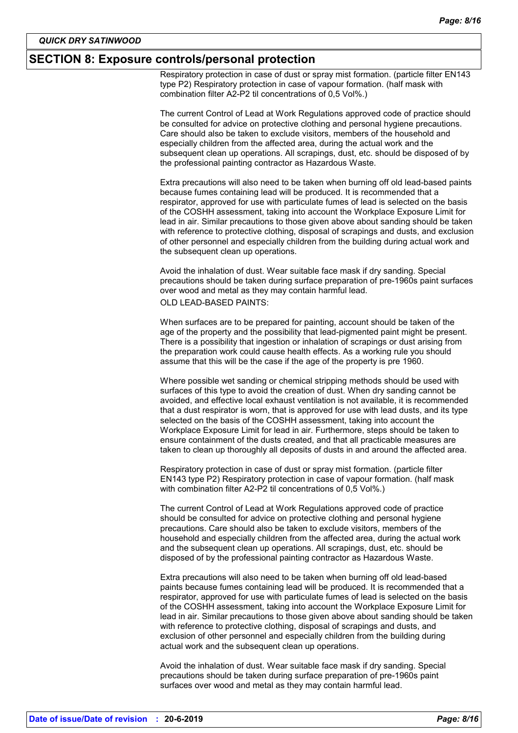#### **SECTION 8: Exposure controls/personal protection**

Respiratory protection in case of dust or spray mist formation. (particle filter EN143 type P2) Respiratory protection in case of vapour formation. (half mask with combination filter A2-P2 til concentrations of 0,5 Vol%.)

The current Control of Lead at Work Regulations approved code of practice should be consulted for advice on protective clothing and personal hygiene precautions. Care should also be taken to exclude visitors, members of the household and especially children from the affected area, during the actual work and the subsequent clean up operations. All scrapings, dust, etc. should be disposed of by the professional painting contractor as Hazardous Waste.

Extra precautions will also need to be taken when burning off old lead-based paints because fumes containing lead will be produced. It is recommended that a respirator, approved for use with particulate fumes of lead is selected on the basis of the COSHH assessment, taking into account the Workplace Exposure Limit for lead in air. Similar precautions to those given above about sanding should be taken with reference to protective clothing, disposal of scrapings and dusts, and exclusion of other personnel and especially children from the building during actual work and the subsequent clean up operations.

Avoid the inhalation of dust. Wear suitable face mask if dry sanding. Special precautions should be taken during surface preparation of pre-1960s paint surfaces over wood and metal as they may contain harmful lead. OLD LEAD-BASED PAINTS:

When surfaces are to be prepared for painting, account should be taken of the age of the property and the possibility that lead-pigmented paint might be present. There is a possibility that ingestion or inhalation of scrapings or dust arising from the preparation work could cause health effects. As a working rule you should assume that this will be the case if the age of the property is pre 1960.

Where possible wet sanding or chemical stripping methods should be used with surfaces of this type to avoid the creation of dust. When dry sanding cannot be avoided, and effective local exhaust ventilation is not available, it is recommended that a dust respirator is worn, that is approved for use with lead dusts, and its type selected on the basis of the COSHH assessment, taking into account the Workplace Exposure Limit for lead in air. Furthermore, steps should be taken to ensure containment of the dusts created, and that all practicable measures are taken to clean up thoroughly all deposits of dusts in and around the affected area.

Respiratory protection in case of dust or spray mist formation. (particle filter EN143 type P2) Respiratory protection in case of vapour formation. (half mask with combination filter A2-P2 til concentrations of 0,5 Vol%.)

The current Control of Lead at Work Regulations approved code of practice should be consulted for advice on protective clothing and personal hygiene precautions. Care should also be taken to exclude visitors, members of the household and especially children from the affected area, during the actual work and the subsequent clean up operations. All scrapings, dust, etc. should be disposed of by the professional painting contractor as Hazardous Waste.

Extra precautions will also need to be taken when burning off old lead-based paints because fumes containing lead will be produced. It is recommended that a respirator, approved for use with particulate fumes of lead is selected on the basis of the COSHH assessment, taking into account the Workplace Exposure Limit for lead in air. Similar precautions to those given above about sanding should be taken with reference to protective clothing, disposal of scrapings and dusts, and exclusion of other personnel and especially children from the building during actual work and the subsequent clean up operations.

Avoid the inhalation of dust. Wear suitable face mask if dry sanding. Special precautions should be taken during surface preparation of pre-1960s paint surfaces over wood and metal as they may contain harmful lead.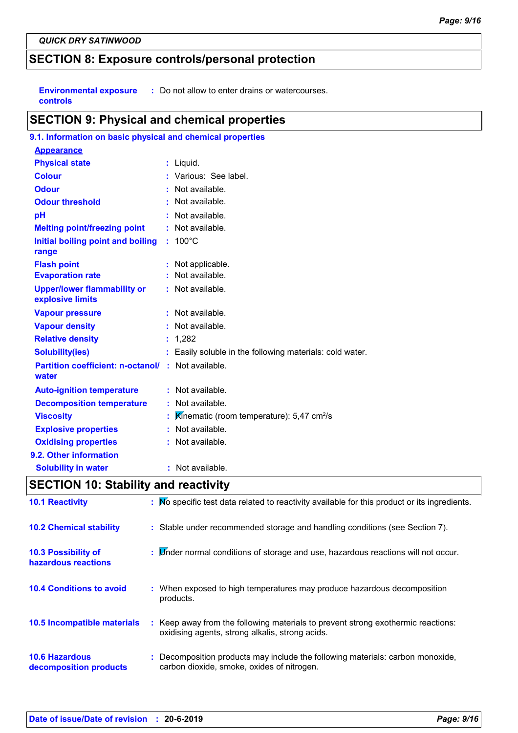# **SECTION 8: Exposure controls/personal protection**

**Environmental exposure : Do not allow to enter drains or watercourses. controls**

### **SECTION 9: Physical and chemical properties**

| 9.1. Information on basic physical and chemical properties |                                                          |
|------------------------------------------------------------|----------------------------------------------------------|
| <b>Appearance</b>                                          |                                                          |
| <b>Physical state</b>                                      | : Liquid.                                                |
| <b>Colour</b>                                              | : Various: See label.                                    |
| <b>Odour</b>                                               | : Not available.                                         |
| <b>Odour threshold</b>                                     | : Not available.                                         |
| pH                                                         | $:$ Not available.                                       |
| <b>Melting point/freezing point</b>                        | : Not available.                                         |
| Initial boiling point and boiling<br>range                 | $: 100^{\circ}$ C                                        |
| <b>Flash point</b>                                         | : Not applicable.                                        |
| <b>Evaporation rate</b>                                    | : Not available.                                         |
| <b>Upper/lower flammability or</b><br>explosive limits     | : Not available.                                         |
| <b>Vapour pressure</b>                                     | : Not available.                                         |
| <b>Vapour density</b>                                      | : Not available.                                         |
| <b>Relative density</b>                                    | : 1,282                                                  |
| <b>Solubility(ies)</b>                                     | : Easily soluble in the following materials: cold water. |
| <b>Partition coefficient: n-octanol/</b><br>water          | : Not available.                                         |
| <b>Auto-ignition temperature</b>                           | : Not available.                                         |
| <b>Decomposition temperature</b>                           | : Not available.                                         |
| <b>Viscosity</b>                                           | Kinematic (room temperature): $5,47$ cm <sup>2</sup> /s  |
| <b>Explosive properties</b>                                | Not available.                                           |
| <b>Oxidising properties</b>                                | : Not available.                                         |
| 9.2. Other information                                     |                                                          |
| <b>Solubility in water</b>                                 | : Not available.                                         |

# **SECTION 10: Stability and reactivity**

| <b>10.1 Reactivity</b>                            | : No specific test data related to reactivity available for this product or its ingredients.                                        |
|---------------------------------------------------|-------------------------------------------------------------------------------------------------------------------------------------|
| <b>10.2 Chemical stability</b>                    | : Stable under recommended storage and handling conditions (see Section 7).                                                         |
| <b>10.3 Possibility of</b><br>hazardous reactions | : L'inder normal conditions of storage and use, hazardous reactions will not occur.                                                 |
| <b>10.4 Conditions to avoid</b>                   | : When exposed to high temperatures may produce hazardous decomposition<br>products.                                                |
| 10.5 Incompatible materials                       | : Keep away from the following materials to prevent strong exothermic reactions:<br>oxidising agents, strong alkalis, strong acids. |
| <b>10.6 Hazardous</b><br>decomposition products   | Decomposition products may include the following materials: carbon monoxide,<br>carbon dioxide, smoke, oxides of nitrogen.          |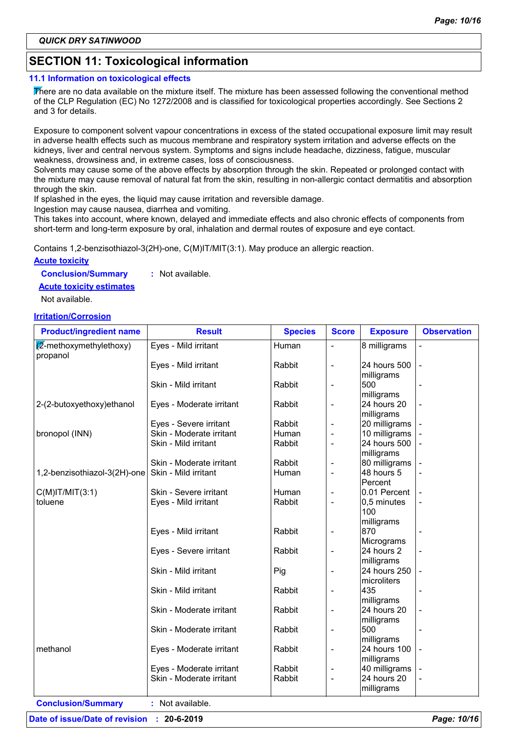# **SECTION 11: Toxicological information**

#### **11.1 Information on toxicological effects**

There are no data available on the mixture itself. The mixture has been assessed following the conventional method of the CLP Regulation (EC) No 1272/2008 and is classified for toxicological properties accordingly. See Sections 2 and 3 for details.

Exposure to component solvent vapour concentrations in excess of the stated occupational exposure limit may result in adverse health effects such as mucous membrane and respiratory system irritation and adverse effects on the kidneys, liver and central nervous system. Symptoms and signs include headache, dizziness, fatigue, muscular weakness, drowsiness and, in extreme cases, loss of consciousness.

Solvents may cause some of the above effects by absorption through the skin. Repeated or prolonged contact with the mixture may cause removal of natural fat from the skin, resulting in non-allergic contact dermatitis and absorption through the skin.

If splashed in the eyes, the liquid may cause irritation and reversible damage.

Ingestion may cause nausea, diarrhea and vomiting.

This takes into account, where known, delayed and immediate effects and also chronic effects of components from short-term and long-term exposure by oral, inhalation and dermal routes of exposure and eye contact.

Contains 1,2-benzisothiazol-3(2H)-one, C(M)IT/MIT(3:1). May produce an allergic reaction.

#### **Acute toxicity**

**Conclusion/Summary :** Not available.

**Acute toxicity estimates**

Not available.

#### **Irritation/Corrosion**

| <b>Product/ingredient name</b>   | <b>Result</b>            | <b>Species</b> | <b>Score</b>             | <b>Exposure</b> | <b>Observation</b> |
|----------------------------------|--------------------------|----------------|--------------------------|-----------------|--------------------|
| $\sqrt{2}$ -methoxymethylethoxy) | Eyes - Mild irritant     | Human          |                          | 8 milligrams    |                    |
| propanol                         |                          |                |                          |                 |                    |
|                                  | Eyes - Mild irritant     | Rabbit         | L,                       | 24 hours 500    |                    |
|                                  |                          |                |                          | milligrams      |                    |
|                                  | Skin - Mild irritant     | Rabbit         | ÷,                       | 500             |                    |
|                                  |                          |                |                          | milligrams      |                    |
| 2-(2-butoxyethoxy)ethanol        | Eyes - Moderate irritant | Rabbit         | -                        | 24 hours 20     |                    |
|                                  |                          |                |                          | milligrams      |                    |
|                                  | Eyes - Severe irritant   | Rabbit         | -                        | 20 milligrams   |                    |
| bronopol (INN)                   | Skin - Moderate irritant | Human          | -                        | 10 milligrams   |                    |
|                                  | Skin - Mild irritant     | Rabbit         | $\overline{a}$           | 24 hours 500    |                    |
|                                  |                          |                |                          | milligrams      |                    |
|                                  | Skin - Moderate irritant | Rabbit         |                          | 80 milligrams   |                    |
| 1,2-benzisothiazol-3(2H)-one     | Skin - Mild irritant     | Human          | L,                       | 48 hours 5      |                    |
|                                  |                          |                |                          | Percent         |                    |
| $C(M)$ IT/MIT $(3:1)$            | Skin - Severe irritant   | Human          | $\overline{\phantom{0}}$ | 0.01 Percent    |                    |
| toluene                          | Eyes - Mild irritant     | Rabbit         | $\overline{a}$           | 0,5 minutes     |                    |
|                                  |                          |                |                          | 100             |                    |
|                                  |                          |                |                          | milligrams      |                    |
|                                  | Eyes - Mild irritant     | Rabbit         | ÷,                       | 870             |                    |
|                                  |                          |                |                          | Micrograms      |                    |
|                                  | Eyes - Severe irritant   | Rabbit         | L,                       | 24 hours 2      |                    |
|                                  |                          |                |                          | milligrams      |                    |
|                                  | Skin - Mild irritant     | Pig            | ÷,                       | 24 hours 250    |                    |
|                                  |                          |                |                          | microliters     |                    |
|                                  | Skin - Mild irritant     | Rabbit         | ÷,                       | 435             |                    |
|                                  |                          |                |                          | milligrams      |                    |
|                                  | Skin - Moderate irritant | Rabbit         | ÷,                       | 24 hours 20     |                    |
|                                  |                          |                |                          | milligrams      |                    |
|                                  | Skin - Moderate irritant | Rabbit         | -                        | 500             |                    |
|                                  |                          |                |                          | milligrams      |                    |
| methanol                         | Eyes - Moderate irritant | Rabbit         | $\qquad \qquad -$        | 24 hours 100    |                    |
|                                  |                          |                |                          | milligrams      |                    |
|                                  | Eyes - Moderate irritant | Rabbit         | -                        | 40 milligrams   |                    |
|                                  | Skin - Moderate irritant | Rabbit         | -                        | 24 hours 20     |                    |
|                                  |                          |                |                          | milligrams      |                    |

**Conclusion/Summary :** Not available.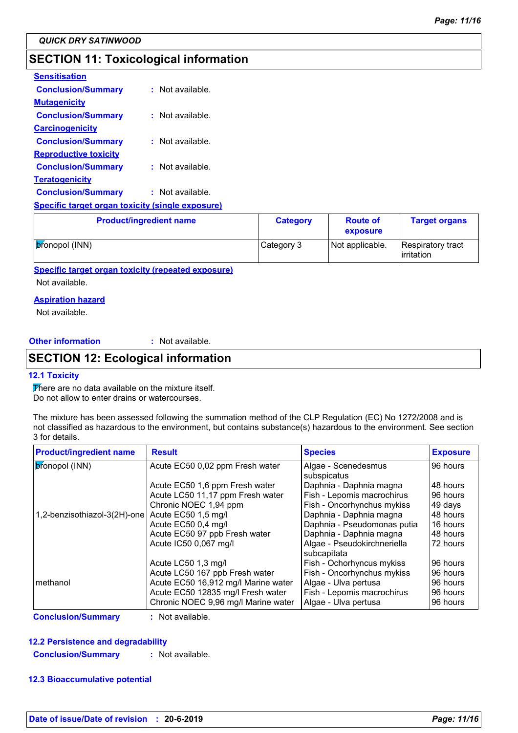# **SECTION 11: Toxicological information**

| <b>Sensitisation</b>                                    |                    |
|---------------------------------------------------------|--------------------|
| <b>Conclusion/Summary</b>                               | $:$ Not available. |
| <b>Mutagenicity</b>                                     |                    |
| <b>Conclusion/Summary</b>                               | $:$ Not available. |
| <b>Carcinogenicity</b>                                  |                    |
| <b>Conclusion/Summary</b>                               | : Not available.   |
| <b>Reproductive toxicity</b>                            |                    |
| <b>Conclusion/Summary</b>                               | $:$ Not available. |
| <u>Teratogenicity</u>                                   |                    |
| <b>Conclusion/Summary</b>                               | Not available.     |
| <u>Specific target organ toxicity (single exposure)</u> |                    |

| <b>Product/ingredient name</b> | <b>Category</b> | <b>Route of</b><br>exposure | <b>Target organs</b>            |
|--------------------------------|-----------------|-----------------------------|---------------------------------|
| <b>pronopol</b> (INN)          | Category 3      | Not applicable.             | Respiratory tract<br>irritation |

**Specific target organ toxicity (repeated exposure)**

Not available.

#### **Aspiration hazard**

Not available.

**Other information :**

: Not available.

# **SECTION 12: Ecological information**

#### **12.1 Toxicity**

There are no data available on the mixture itself. Do not allow to enter drains or watercourses.

The mixture has been assessed following the summation method of the CLP Regulation (EC) No 1272/2008 and is not classified as hazardous to the environment, but contains substance(s) hazardous to the environment. See section 3 for details.

| <b>Product/ingredient name</b> | <b>Result</b>                       | <b>Species</b>                             | <b>Exposure</b> |
|--------------------------------|-------------------------------------|--------------------------------------------|-----------------|
| <i><b>b</b></i> ronopol (INN)  | Acute EC50 0,02 ppm Fresh water     | Algae - Scenedesmus<br>subspicatus         | 96 hours        |
|                                | Acute EC50 1,6 ppm Fresh water      | Daphnia - Daphnia magna                    | I48 hours       |
|                                | Acute LC50 11,17 ppm Fresh water    | Fish - Lepomis macrochirus                 | 196 hours       |
|                                | Chronic NOEC 1,94 ppm               | Fish - Oncorhynchus mykiss                 | 49 days         |
| 1,2-benzisothiazol-3(2H)-one   | Acute EC50 1,5 mg/l                 | Daphnia - Daphnia magna                    | 48 hours        |
|                                | Acute EC50 0,4 mg/l                 | Daphnia - Pseudomonas putia                | 16 hours        |
|                                | Acute EC50 97 ppb Fresh water       | Daphnia - Daphnia magna                    | 48 hours        |
|                                | Acute IC50 0,067 mg/l               | Algae - Pseudokirchneriella<br>subcapitata | 172 hours       |
|                                | Acute LC50 1,3 mg/l                 | Fish - Ochorhyncus mykiss                  | 196 hours       |
|                                | Acute LC50 167 ppb Fresh water      | Fish - Oncorhynchus mykiss                 | 196 hours       |
| I methanol                     | Acute EC50 16,912 mg/l Marine water | Algae - Ulva pertusa                       | 196 hours       |
|                                | Acute EC50 12835 mg/l Fresh water   | Fish - Lepomis macrochirus                 | 196 hours       |
|                                | Chronic NOEC 9,96 mg/l Marine water | Algae - Ulva pertusa                       | 96 hours        |

**Conclusion/Summary :** Not available.

#### **12.2 Persistence and degradability**

**Conclusion/Summary :** Not available.

#### **12.3 Bioaccumulative potential**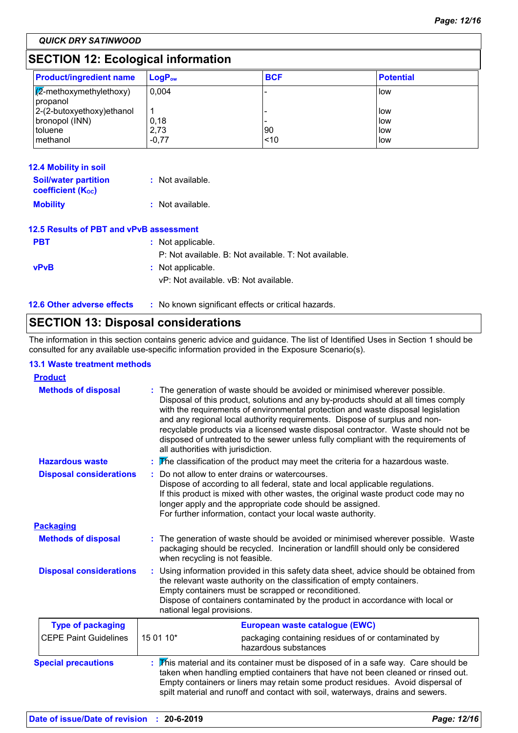*QUICK DRY SATINWOOD*

# **SECTION 12: Ecological information**

| <b>Product/ingredient name</b>                         | $\mathsf{LogP}_\mathsf{ow}$ | <b>BCF</b> | <b>Potential</b> |
|--------------------------------------------------------|-----------------------------|------------|------------------|
| $\sqrt{\mathbb{Z}}$ -methoxymethylethoxy)<br> propanol | 0.004                       |            | llow             |
| 2-(2-butoxyethoxy) ethanol                             |                             |            | llow             |
| bronopol (INN)                                         | 0,18                        |            | low              |
| toluene                                                | 2,73                        | 90         | llow             |
| I methanol                                             | $-0.77$                     | ~10        | low              |

| <b>12.4 Mobility in soil</b>                            |                                                       |
|---------------------------------------------------------|-------------------------------------------------------|
| <b>Soil/water partition</b><br><b>coefficient (Koc)</b> | $:$ Not available.                                    |
| <b>Mobility</b>                                         | $:$ Not available.                                    |
| 12.5 Results of PBT and vPvB assessment                 |                                                       |
| <b>PBT</b>                                              | : Not applicable.                                     |
|                                                         | P: Not available, B: Not available, T: Not available. |
| <b>vPvB</b>                                             | : Not applicable.                                     |
|                                                         | vP: Not available, vB: Not available.                 |
| <b>12.6 Other adverse effects</b>                       | : No known significant effects or critical hazards.   |

# **SECTION 13: Disposal considerations**

The information in this section contains generic advice and guidance. The list of Identified Uses in Section 1 should be consulted for any available use-specific information provided in the Exposure Scenario(s).

#### **13.1 Waste treatment methods**

| <b>Product</b>                 |                                                                                                                                                                                                                                                                                                                                       |                                                                                                                                                                                                                                                                                                                                                                                                                                                                                                                |
|--------------------------------|---------------------------------------------------------------------------------------------------------------------------------------------------------------------------------------------------------------------------------------------------------------------------------------------------------------------------------------|----------------------------------------------------------------------------------------------------------------------------------------------------------------------------------------------------------------------------------------------------------------------------------------------------------------------------------------------------------------------------------------------------------------------------------------------------------------------------------------------------------------|
| <b>Methods of disposal</b>     | all authorities with jurisdiction.                                                                                                                                                                                                                                                                                                    | : The generation of waste should be avoided or minimised wherever possible.<br>Disposal of this product, solutions and any by-products should at all times comply<br>with the requirements of environmental protection and waste disposal legislation<br>and any regional local authority requirements. Dispose of surplus and non-<br>recyclable products via a licensed waste disposal contractor. Waste should not be<br>disposed of untreated to the sewer unless fully compliant with the requirements of |
| <b>Hazardous waste</b>         |                                                                                                                                                                                                                                                                                                                                       | The classification of the product may meet the criteria for a hazardous waste.                                                                                                                                                                                                                                                                                                                                                                                                                                 |
| <b>Disposal considerations</b> |                                                                                                                                                                                                                                                                                                                                       | Do not allow to enter drains or watercourses.<br>Dispose of according to all federal, state and local applicable regulations.<br>If this product is mixed with other wastes, the original waste product code may no<br>longer apply and the appropriate code should be assigned.<br>For further information, contact your local waste authority.                                                                                                                                                               |
| <b>Packaging</b>               |                                                                                                                                                                                                                                                                                                                                       |                                                                                                                                                                                                                                                                                                                                                                                                                                                                                                                |
| <b>Methods of disposal</b>     | when recycling is not feasible.                                                                                                                                                                                                                                                                                                       | : The generation of waste should be avoided or minimised wherever possible. Waste<br>packaging should be recycled. Incineration or landfill should only be considered                                                                                                                                                                                                                                                                                                                                          |
| <b>Disposal considerations</b> | Using information provided in this safety data sheet, advice should be obtained from<br>the relevant waste authority on the classification of empty containers.<br>Empty containers must be scrapped or reconditioned.<br>Dispose of containers contaminated by the product in accordance with local or<br>national legal provisions. |                                                                                                                                                                                                                                                                                                                                                                                                                                                                                                                |
| <b>Type of packaging</b>       |                                                                                                                                                                                                                                                                                                                                       | European waste catalogue (EWC)                                                                                                                                                                                                                                                                                                                                                                                                                                                                                 |
| <b>CEPE Paint Guidelines</b>   | 15 01 10*                                                                                                                                                                                                                                                                                                                             | packaging containing residues of or contaminated by<br>hazardous substances                                                                                                                                                                                                                                                                                                                                                                                                                                    |
| <b>Special precautions</b>     |                                                                                                                                                                                                                                                                                                                                       | This material and its container must be disposed of in a safe way. Care should be<br>taken when handling emptied containers that have not been cleaned or rinsed out.<br>Empty containers or liners may retain some product residues. Avoid dispersal of<br>spilt material and runoff and contact with soil, waterways, drains and sewers.                                                                                                                                                                     |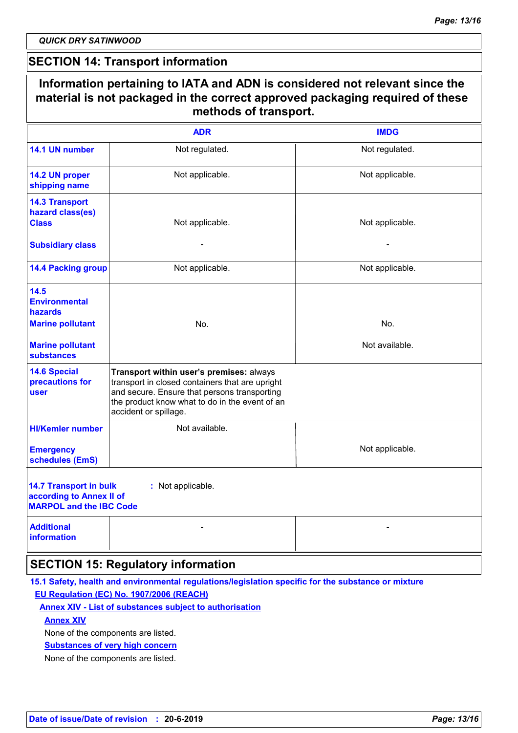*QUICK DRY SATINWOOD*

### **SECTION 14: Transport information**

| Information pertaining to IATA and ADN is considered not relevant since the<br>material is not packaged in the correct approved packaging required of these<br>methods of transport. |                                                                                                                                                                                                                        |                 |  |
|--------------------------------------------------------------------------------------------------------------------------------------------------------------------------------------|------------------------------------------------------------------------------------------------------------------------------------------------------------------------------------------------------------------------|-----------------|--|
|                                                                                                                                                                                      | <b>ADR</b>                                                                                                                                                                                                             | <b>IMDG</b>     |  |
| 14.1 UN number                                                                                                                                                                       | Not regulated.                                                                                                                                                                                                         | Not regulated.  |  |
| 14.2 UN proper<br>shipping name                                                                                                                                                      | Not applicable.                                                                                                                                                                                                        | Not applicable. |  |
| <b>14.3 Transport</b><br>hazard class(es)<br><b>Class</b>                                                                                                                            | Not applicable.                                                                                                                                                                                                        | Not applicable. |  |
| <b>Subsidiary class</b>                                                                                                                                                              |                                                                                                                                                                                                                        |                 |  |
| <b>14.4 Packing group</b>                                                                                                                                                            | Not applicable.                                                                                                                                                                                                        | Not applicable. |  |
| 14.5<br><b>Environmental</b><br><b>hazards</b>                                                                                                                                       |                                                                                                                                                                                                                        |                 |  |
| <b>Marine pollutant</b>                                                                                                                                                              | No.                                                                                                                                                                                                                    | No.             |  |
| <b>Marine pollutant</b><br><b>substances</b>                                                                                                                                         |                                                                                                                                                                                                                        | Not available.  |  |
| <b>14.6 Special</b><br>precautions for<br>user                                                                                                                                       | Transport within user's premises: always<br>transport in closed containers that are upright<br>and secure. Ensure that persons transporting<br>the product know what to do in the event of an<br>accident or spillage. |                 |  |
| <b>HI/Kemler number</b>                                                                                                                                                              | Not available.                                                                                                                                                                                                         |                 |  |
| <b>Emergency</b><br>schedules (EmS)                                                                                                                                                  |                                                                                                                                                                                                                        | Not applicable. |  |
| <b>14.7 Transport in bulk</b><br>according to Annex II of<br><b>MARPOL and the IBC Code</b>                                                                                          | : Not applicable.                                                                                                                                                                                                      |                 |  |
| <b>Additional</b><br><b>information</b>                                                                                                                                              |                                                                                                                                                                                                                        |                 |  |
|                                                                                                                                                                                      | <b>SECTION 15: Regulatory information</b>                                                                                                                                                                              |                 |  |

#### **15.1 Safety, health and environmental regulations/legislation specific for the substance or mixture EU Regulation (EC) No. 1907/2006 (REACH)**

#### **Annex XIV - List of substances subject to authorisation**

#### **Annex XIV**

None of the components are listed.

#### **Substances of very high concern**

None of the components are listed.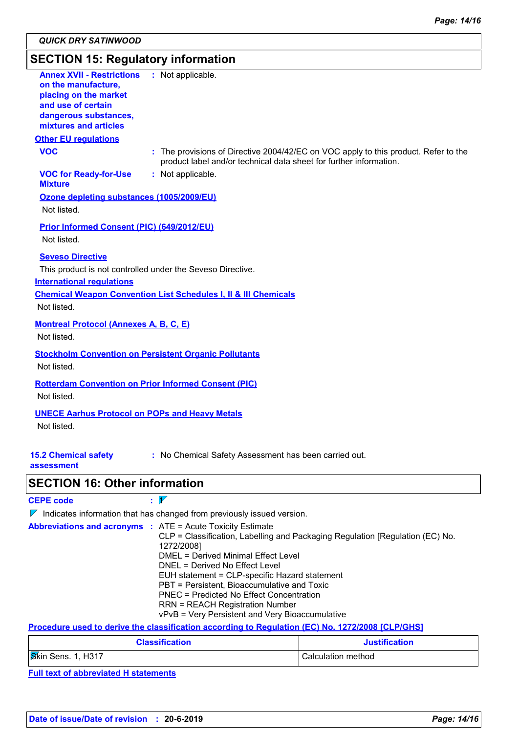# **SECTION 15: Regulatory information**

| <b>Annex XVII - Restrictions</b><br>on the manufacture,<br>placing on the market<br>and use of certain<br>dangerous substances,<br>mixtures and articles | : Not applicable.                                                                                                                                         |
|----------------------------------------------------------------------------------------------------------------------------------------------------------|-----------------------------------------------------------------------------------------------------------------------------------------------------------|
| <b>Other EU regulations</b>                                                                                                                              |                                                                                                                                                           |
| <b>VOC</b>                                                                                                                                               | : The provisions of Directive 2004/42/EC on VOC apply to this product. Refer to the<br>product label and/or technical data sheet for further information. |
| <b>VOC for Ready-for-Use</b><br><b>Mixture</b>                                                                                                           | : Not applicable.                                                                                                                                         |
| Ozone depleting substances (1005/2009/EU)<br>Not listed.                                                                                                 |                                                                                                                                                           |
| Prior Informed Consent (PIC) (649/2012/EU)<br>Not listed.                                                                                                |                                                                                                                                                           |
| <b>Seveso Directive</b><br><b>International regulations</b><br>Not listed.                                                                               | This product is not controlled under the Seveso Directive.<br><b>Chemical Weapon Convention List Schedules I. II &amp; III Chemicals</b>                  |
| <b>Montreal Protocol (Annexes A, B, C, E)</b><br>Not listed.                                                                                             |                                                                                                                                                           |
| Not listed.                                                                                                                                              | <b>Stockholm Convention on Persistent Organic Pollutants</b>                                                                                              |
| Not listed.                                                                                                                                              | <b>Rotterdam Convention on Prior Informed Consent (PIC)</b>                                                                                               |
| <b>UNECE Aarhus Protocol on POPs and Heavy Metals</b><br>Not listed.                                                                                     |                                                                                                                                                           |
| <b>15.2 Chemical safety</b><br>assessment                                                                                                                | : No Chemical Safety Assessment has been carried out.                                                                                                     |

### **SECTION 16: Other information**

| <b>CEPE code</b> | $\overline{A}$ |
|------------------|----------------|
|------------------|----------------|

 $\nabla$  Indicates information that has changed from previously issued version.

| <b>Abbreviations and acronyms : ATE = Acute Toxicity Estimate</b> |  |                                                                               |
|-------------------------------------------------------------------|--|-------------------------------------------------------------------------------|
|                                                                   |  | CLP = Classification, Labelling and Packaging Regulation [Regulation (EC) No. |
|                                                                   |  | 1272/2008]                                                                    |
|                                                                   |  | DMEL = Derived Minimal Effect Level                                           |
|                                                                   |  | DNEL = Derived No Effect Level                                                |
|                                                                   |  | EUH statement = CLP-specific Hazard statement                                 |
|                                                                   |  | PBT = Persistent, Bioaccumulative and Toxic                                   |
|                                                                   |  | <b>PNEC</b> = Predicted No Effect Concentration                               |
|                                                                   |  | <b>RRN = REACH Registration Number</b>                                        |
|                                                                   |  | vPvB = Very Persistent and Very Bioaccumulative                               |

**Procedure used to derive the classification according to Regulation (EC) No. 1272/2008 [CLP/GHS]**

| <b>Classification</b> | <b>Justification</b> |
|-----------------------|----------------------|
| Skin Sens. 1, H317    | Calculation method   |

**Full text of abbreviated H statements**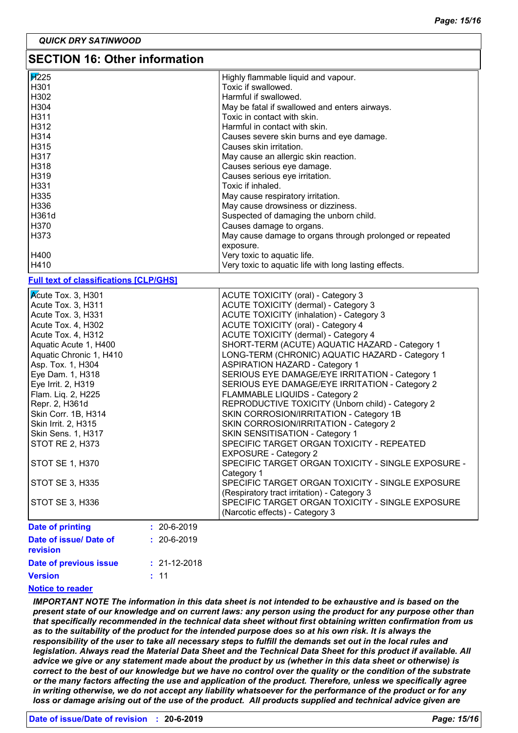### **SECTION 16: Other information**

| <b>F</b> <sup>225</sup> | Highly flammable liquid and vapour.                      |  |  |  |
|-------------------------|----------------------------------------------------------|--|--|--|
| H <sub>301</sub>        | Toxic if swallowed.                                      |  |  |  |
| H302                    | Harmful if swallowed.                                    |  |  |  |
| H304                    | May be fatal if swallowed and enters airways.            |  |  |  |
| H311                    | Toxic in contact with skin.                              |  |  |  |
| H312                    | Harmful in contact with skin.                            |  |  |  |
| H314                    | Causes severe skin burns and eye damage.                 |  |  |  |
| H315                    | Causes skin irritation.                                  |  |  |  |
| H317                    | May cause an allergic skin reaction.                     |  |  |  |
| H318                    | Causes serious eye damage.                               |  |  |  |
| l H319                  | Causes serious eye irritation.                           |  |  |  |
| H331 H                  | Toxic if inhaled.                                        |  |  |  |
| H335                    | May cause respiratory irritation.                        |  |  |  |
| H336                    | May cause drowsiness or dizziness.                       |  |  |  |
| H361d                   | Suspected of damaging the unborn child.                  |  |  |  |
| H370                    | Causes damage to organs.                                 |  |  |  |
| l H373                  | May cause damage to organs through prolonged or repeated |  |  |  |
|                         | exposure.                                                |  |  |  |
| H400                    | Very toxic to aquatic life.                              |  |  |  |
| H410                    | Very toxic to aquatic life with long lasting effects.    |  |  |  |

#### **Full text of classifications [CLP/GHS]**

| Date of issue/ Date of<br>revision               | $: 20 - 6 - 2019$ |                                                                                                   |
|--------------------------------------------------|-------------------|---------------------------------------------------------------------------------------------------|
| <b>Date of printing</b>                          | $: 20 - 6 - 2019$ |                                                                                                   |
|                                                  |                   | (Narcotic effects) - Category 3                                                                   |
| STOT SE 3, H336                                  |                   | SPECIFIC TARGET ORGAN TOXICITY - SINGLE EXPOSURE                                                  |
|                                                  |                   | (Respiratory tract irritation) - Category 3                                                       |
| STOT SE 3, H335                                  |                   | Category 1<br>SPECIFIC TARGET ORGAN TOXICITY - SINGLE EXPOSURE                                    |
| STOT SE 1, H370                                  |                   | <b>EXPOSURE - Category 2</b><br>SPECIFIC TARGET ORGAN TOXICITY - SINGLE EXPOSURE -                |
| STOT RE 2, H373                                  |                   | SPECIFIC TARGET ORGAN TOXICITY - REPEATED                                                         |
| Skin Sens. 1, H317                               |                   | SKIN SENSITISATION - Category 1                                                                   |
| Skin Irrit. 2, H315                              |                   | SKIN CORROSION/IRRITATION - Category 2                                                            |
| Skin Corr. 1B, H314                              |                   | SKIN CORROSION/IRRITATION - Category 1B                                                           |
| Repr. 2, H361d                                   |                   | REPRODUCTIVE TOXICITY (Unborn child) - Category 2                                                 |
| Flam. Liq. 2, H225                               |                   | FLAMMABLE LIQUIDS - Category 2                                                                    |
| Eye Irrit. 2, H319                               |                   | SERIOUS EYE DAMAGE/EYE IRRITATION - Category 2                                                    |
| Eye Dam. 1, H318                                 |                   | SERIOUS EYE DAMAGE/EYE IRRITATION - Category 1                                                    |
| Asp. Tox. 1, H304                                |                   | <b>ASPIRATION HAZARD - Category 1</b>                                                             |
| Aquatic Acute 1, H400<br>Aquatic Chronic 1, H410 |                   | SHORT-TERM (ACUTE) AQUATIC HAZARD - Category 1<br>LONG-TERM (CHRONIC) AQUATIC HAZARD - Category 1 |
| Acute Tox. 4, H312                               |                   | ACUTE TOXICITY (dermal) - Category 4                                                              |
| Acute Tox. 4, H302                               |                   | ACUTE TOXICITY (oral) - Category 4                                                                |
| Acute Tox. 3, H331                               |                   | <b>ACUTE TOXICITY (inhalation) - Category 3</b>                                                   |
| Acute Tox. 3, H311                               |                   | ACUTE TOXICITY (dermal) - Category 3                                                              |
| Kcute Tox. 3, H301                               |                   | ACUTE TOXICITY (oral) - Category 3                                                                |

| <b>revision</b>        |                    |
|------------------------|--------------------|
| Date of previous issue | $: 21 - 12 - 2018$ |
| <b>Version</b>         | $\pm$ 11           |

#### **Notice to reader**

*IMPORTANT NOTE The information in this data sheet is not intended to be exhaustive and is based on the present state of our knowledge and on current laws: any person using the product for any purpose other than that specifically recommended in the technical data sheet without first obtaining written confirmation from us*  as to the suitability of the product for the intended purpose does so at his own risk. It is always the *responsibility of the user to take all necessary steps to fulfill the demands set out in the local rules and legislation. Always read the Material Data Sheet and the Technical Data Sheet for this product if available. All advice we give or any statement made about the product by us (whether in this data sheet or otherwise) is correct to the best of our knowledge but we have no control over the quality or the condition of the substrate or the many factors affecting the use and application of the product. Therefore, unless we specifically agree in writing otherwise, we do not accept any liability whatsoever for the performance of the product or for any loss or damage arising out of the use of the product. All products supplied and technical advice given are*